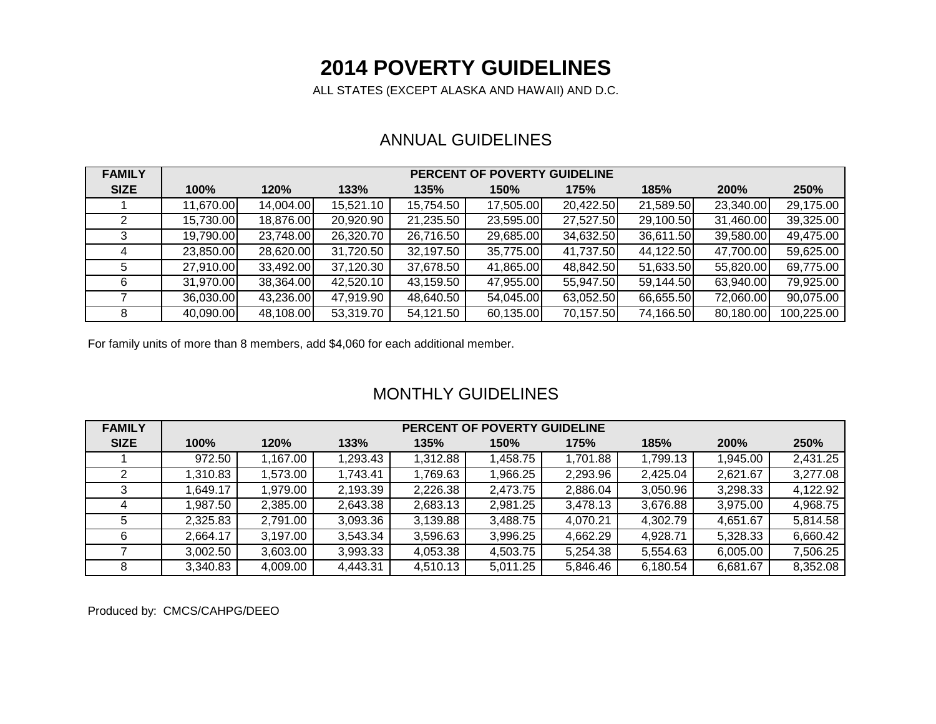# **2014 POVERTY GUIDELINES**

ALL STATES (EXCEPT ALASKA AND HAWAII) AND D.C.

### ANNUAL GUIDELINES

| <b>FAMILY</b> | PERCENT OF POVERTY GUIDELINE |           |           |           |           |           |           |           |            |  |  |  |
|---------------|------------------------------|-----------|-----------|-----------|-----------|-----------|-----------|-----------|------------|--|--|--|
| <b>SIZE</b>   | 100%                         | 120%      | 133%      | 135%      | 150%      | 175%      | 185%      | 200%      | 250%       |  |  |  |
|               | 11,670.00                    | 14,004.00 | 15,521.10 | 15,754.50 | 17,505.00 | 20,422.50 | 21,589.50 | 23,340.00 | 29,175.00  |  |  |  |
|               | 15,730.00                    | 18,876.00 | 20,920.90 | 21,235.50 | 23,595.00 | 27,527.50 | 29,100.50 | 31,460.00 | 39,325.00  |  |  |  |
|               | 19,790.00                    | 23,748.00 | 26,320.70 | 26,716.50 | 29,685.00 | 34,632.50 | 36,611.50 | 39,580.00 | 49,475.00  |  |  |  |
|               | 23,850.00                    | 28,620.00 | 31,720.50 | 32,197.50 | 35,775.00 | 41,737.50 | 44,122.50 | 47,700.00 | 59,625.00  |  |  |  |
| 5             | 27,910.00                    | 33,492.00 | 37,120.30 | 37,678.50 | 41,865.00 | 48,842.50 | 51,633.50 | 55,820.00 | 69,775.00  |  |  |  |
| 6             | 31,970.00                    | 38,364.00 | 42,520.10 | 43,159.50 | 47,955.00 | 55,947.50 | 59,144.50 | 63,940.00 | 79,925.00  |  |  |  |
|               | 36,030.00                    | 43,236.00 | 47,919.90 | 48,640.50 | 54,045.00 | 63,052.50 | 66,655.50 | 72,060.00 | 90,075.00  |  |  |  |
|               | 40,090.00                    | 48,108.00 | 53,319.70 | 54,121.50 | 60,135.00 | 70,157.50 | 74,166.50 | 80,180.00 | 100,225.00 |  |  |  |

For family units of more than 8 members, add \$4,060 for each additional member.

### MONTHLY GUIDELINES

| <b>FAMILY</b> | <b>PERCENT OF POVERTY GUIDELINE</b> |          |          |          |          |          |          |          |          |  |  |  |
|---------------|-------------------------------------|----------|----------|----------|----------|----------|----------|----------|----------|--|--|--|
| <b>SIZE</b>   | 100%                                | 120%     | 133%     | 135%     | 150%     | 175%     | 185%     | 200%     | 250%     |  |  |  |
|               | 972.50                              | .167.00  | 1,293.43 | 1,312.88 | 1,458.75 | ,701.88  | 1,799.13 | 1,945.00 | 2,431.25 |  |  |  |
|               | 1,310.83                            | 1,573.00 | 1,743.41 | 1,769.63 | 1,966.25 | 2,293.96 | 2,425.04 | 2,621.67 | 3,277.08 |  |  |  |
|               | .649.17                             | 1,979.00 | 2,193.39 | 2,226.38 | 2,473.75 | 2,886.04 | 3,050.96 | 3,298.33 | 4,122.92 |  |  |  |
|               | ,987.50                             | 2,385.00 | 2,643.38 | 2,683.13 | 2,981.25 | 3,478.13 | 3,676.88 | 3,975.00 | 4,968.75 |  |  |  |
| 5             | 2,325.83                            | 2,791.00 | 3,093.36 | 3,139.88 | 3,488.75 | 4,070.21 | 4,302.79 | 4,651.67 | 5,814.58 |  |  |  |
| 6             | 2,664.17                            | 3,197.00 | 3,543.34 | 3,596.63 | 3,996.25 | 4,662.29 | 4,928.71 | 5,328.33 | 6,660.42 |  |  |  |
|               | 3,002.50                            | 3,603.00 | 3,993.33 | 4,053.38 | 4,503.75 | 5,254.38 | 5,554.63 | 6,005.00 | 7,506.25 |  |  |  |
| 8             | 3,340.83                            | 4,009.00 | 4,443.31 | 4,510.13 | 5,011.25 | 5,846.46 | 6,180.54 | 6,681.67 | 8,352.08 |  |  |  |

Produced by: CMCS/CAHPG/DEEO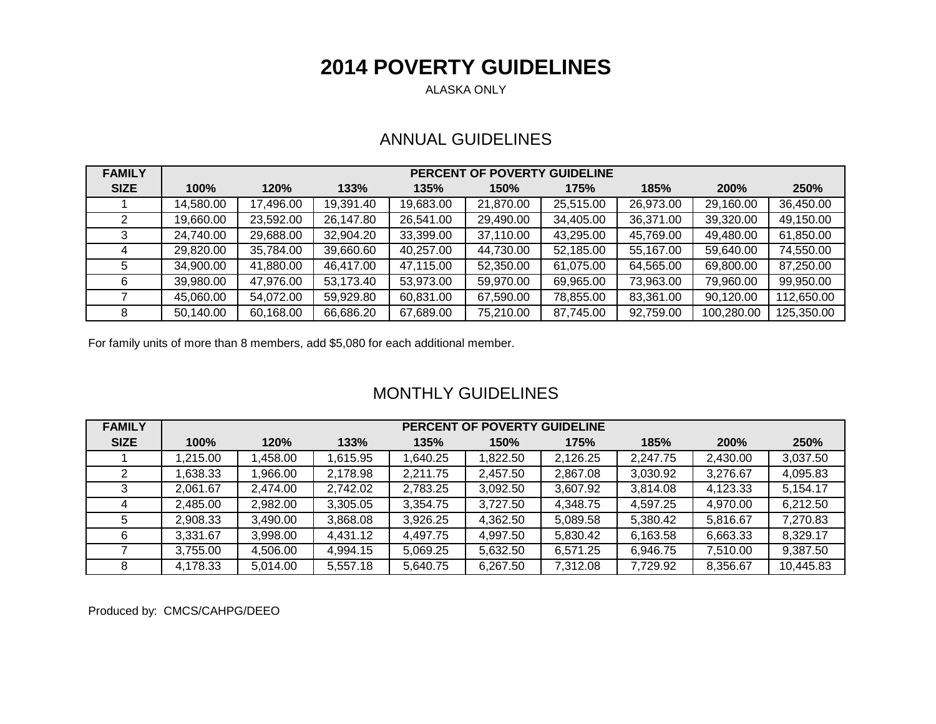# **2014 POVERTY GUIDELINES**

ALASKA ONLY

### ANNUAL GUIDELINES

| <b>FAMILY</b> | PERCENT OF POVERTY GUIDELINE |           |           |           |           |           |           |            |            |  |  |  |
|---------------|------------------------------|-----------|-----------|-----------|-----------|-----------|-----------|------------|------------|--|--|--|
| <b>SIZE</b>   | 100%                         | 120%      | 133%      | 135%      | 150%      | 175%      | 185%      | 200%       | 250%       |  |  |  |
|               | 14,580.00                    | 17,496.00 | 19,391.40 | 19,683.00 | 21,870.00 | 25,515.00 | 26,973.00 | 29,160.00  | 36,450.00  |  |  |  |
|               | 19,660.00                    | 23,592.00 | 26,147.80 | 26,541.00 | 29,490.00 | 34,405.00 | 36,371.00 | 39,320.00  | 49,150.00  |  |  |  |
|               | 24,740.00                    | 29,688.00 | 32,904.20 | 33,399.00 | 37,110.00 | 43,295.00 | 45,769.00 | 49,480.00  | 61,850.00  |  |  |  |
|               | 29,820.00                    | 35,784.00 | 39,660.60 | 40,257.00 | 44,730.00 | 52,185.00 | 55,167.00 | 59,640.00  | 74,550.00  |  |  |  |
| 5.            | 34,900.00                    | 41,880.00 | 46,417.00 | 47,115.00 | 52,350.00 | 61,075.00 | 64,565.00 | 69,800.00  | 87,250.00  |  |  |  |
|               | 39,980.00                    | 47,976.00 | 53,173.40 | 53,973.00 | 59,970.00 | 69,965.00 | 73,963.00 | 79,960.00  | 99,950.00  |  |  |  |
|               | 45,060.00                    | 54,072.00 | 59,929.80 | 60,831.00 | 67,590.00 | 78,855.00 | 83,361.00 | 90,120.00  | 112,650.00 |  |  |  |
| 8             | 50,140.00                    | 60,168.00 | 66,686.20 | 67,689.00 | 75,210.00 | 87,745.00 | 92,759.00 | 100,280.00 | 125,350.00 |  |  |  |

For family units of more than 8 members, add \$5,080 for each additional member.

#### MONTHLY GUIDELINES

| <b>FAMILY</b> | <b>PERCENT OF POVERTY GUIDELINE</b> |          |          |           |          |          |          |             |           |  |  |  |
|---------------|-------------------------------------|----------|----------|-----------|----------|----------|----------|-------------|-----------|--|--|--|
| <b>SIZE</b>   | 100%                                | 120%     | 133%     | 135%      | 150%     | 175%     | 185%     | <b>200%</b> | 250%      |  |  |  |
|               | 1,215.00                            | 1,458.00 | .615.95  | 640.25, ا | 1,822.50 | 2,126.25 | 2,247.75 | 2,430.00    | 3,037.50  |  |  |  |
|               | ,638.33                             | ,966.00  | 2,178.98 | 2,211.75  | 2,457.50 | 2,867.08 | 3,030.92 | 3,276.67    | 4,095.83  |  |  |  |
|               | 2,061.67                            | 2,474.00 | 2,742.02 | 2,783.25  | 3,092.50 | 3,607.92 | 3.814.08 | 4,123.33    | 5,154.17  |  |  |  |
|               | 2,485.00                            | 2,982.00 | 3,305.05 | 3,354.75  | 3.727.50 | 4,348.75 | 4,597.25 | 4,970.00    | 6,212.50  |  |  |  |
|               | 2,908.33                            | 3,490.00 | 3,868.08 | 3,926.25  | 4,362.50 | 5,089.58 | 5,380.42 | 5,816.67    | 7,270.83  |  |  |  |
|               | 3,331.67                            | 3,998.00 | 4.431.12 | 4,497.75  | 4,997.50 | 5,830.42 | 6,163.58 | 6,663.33    | 8,329.17  |  |  |  |
|               | 3,755.00                            | 4,506.00 | 4,994.15 | 5,069.25  | 5,632.50 | 6,571.25 | 6,946.75 | 7,510.00    | 9,387.50  |  |  |  |
|               | 4,178.33                            | 5,014.00 | 5,557.18 | 5.640.75  | 6,267.50 | 7,312.08 | 7,729.92 | 8,356.67    | 10,445.83 |  |  |  |

Produced by: CMCS/CAHPG/DEEO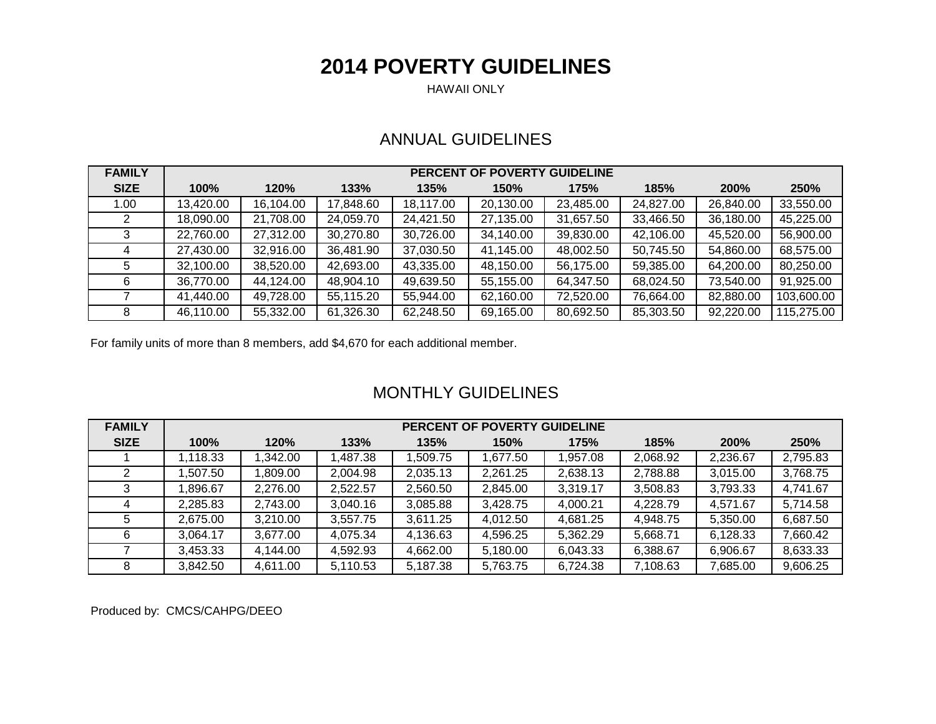## **2014 POVERTY GUIDELINES**

HAWAII ONLY

### ANNUAL GUIDELINES

| <b>FAMILY</b> | <b>PERCENT OF POVERTY GUIDELINE</b> |           |           |           |           |           |           |           |            |  |  |  |
|---------------|-------------------------------------|-----------|-----------|-----------|-----------|-----------|-----------|-----------|------------|--|--|--|
| <b>SIZE</b>   | 100%                                | 120%      | 133%      | 135%      | 150%      | 175%      | 185%      | 200%      | 250%       |  |  |  |
| 1.00          | 13,420.00                           | 16,104.00 | 17,848.60 | 18,117.00 | 20,130.00 | 23,485.00 | 24,827.00 | 26,840.00 | 33,550.00  |  |  |  |
|               | 18,090.00                           | 21,708.00 | 24,059.70 | 24,421.50 | 27,135.00 | 31,657.50 | 33,466.50 | 36,180.00 | 45,225.00  |  |  |  |
|               | 22,760.00                           | 27,312.00 | 30,270.80 | 30,726.00 | 34,140.00 | 39,830.00 | 42,106.00 | 45,520.00 | 56,900.00  |  |  |  |
|               | 27,430.00                           | 32,916.00 | 36,481.90 | 37,030.50 | 41,145.00 | 48,002.50 | 50,745.50 | 54,860.00 | 68,575.00  |  |  |  |
|               | 32,100.00                           | 38,520.00 | 42,693.00 | 43,335.00 | 48,150.00 | 56,175.00 | 59,385.00 | 64,200.00 | 80,250.00  |  |  |  |
| 6             | 36,770.00                           | 44,124.00 | 48,904.10 | 49,639.50 | 55,155.00 | 64,347.50 | 68,024.50 | 73,540.00 | 91,925.00  |  |  |  |
|               | 41,440.00                           | 49,728.00 | 55,115.20 | 55,944.00 | 62,160.00 | 72,520.00 | 76,664.00 | 82,880.00 | 103,600.00 |  |  |  |
| 8             | 46,110.00                           | 55,332.00 | 61,326.30 | 62,248.50 | 69,165.00 | 80,692.50 | 85,303.50 | 92,220.00 | 115,275.00 |  |  |  |

For family units of more than 8 members, add \$4,670 for each additional member.

### MONTHLY GUIDELINES

| <b>FAMILY</b> | PERCENT OF POVERTY GUIDELINE |          |          |          |          |          |          |          |          |  |  |  |
|---------------|------------------------------|----------|----------|----------|----------|----------|----------|----------|----------|--|--|--|
| <b>SIZE</b>   | 100%                         | 120%     | 133%     | 135%     | 150%     | 175%     | 185%     | 200%     | 250%     |  |  |  |
|               | 1,118.33                     | 1,342.00 | ,487.38  | 509.75 ا | 1,677.50 | 1,957.08 | 2,068.92 | 2,236.67 | 2,795.83 |  |  |  |
|               | ,507.50                      | 1,809.00 | 2,004.98 | 2,035.13 | 2,261.25 | 2,638.13 | 2,788.88 | 3,015.00 | 3,768.75 |  |  |  |
|               | .896.67                      | 2.276.00 | 2,522.57 | 2,560.50 | 2,845.00 | 3,319.17 | 3,508.83 | 3,793.33 | 4,741.67 |  |  |  |
|               | 2,285.83                     | 2,743.00 | 3,040.16 | 3,085.88 | 3,428.75 | 4,000.21 | 4.228.79 | 4,571.67 | 5,714.58 |  |  |  |
|               | 2,675.00                     | 3,210.00 | 3,557.75 | 3,611.25 | 4,012.50 | 4,681.25 | 4,948.75 | 5,350.00 | 6,687.50 |  |  |  |
| 6             | 3,064.17                     | 3,677.00 | 4,075.34 | 4,136.63 | 4,596.25 | 5,362.29 | 5,668.71 | 6,128.33 | 7,660.42 |  |  |  |
|               | 3,453.33                     | 4.144.00 | 4,592.93 | 4,662.00 | 5,180.00 | 6,043.33 | 6,388.67 | 6,906.67 | 8,633.33 |  |  |  |
|               | 3,842.50                     | 4.611.00 | 5,110.53 | 5,187.38 | 5,763.75 | 6,724.38 | 7,108.63 | 7,685.00 | 9,606.25 |  |  |  |

Produced by: CMCS/CAHPG/DEEO